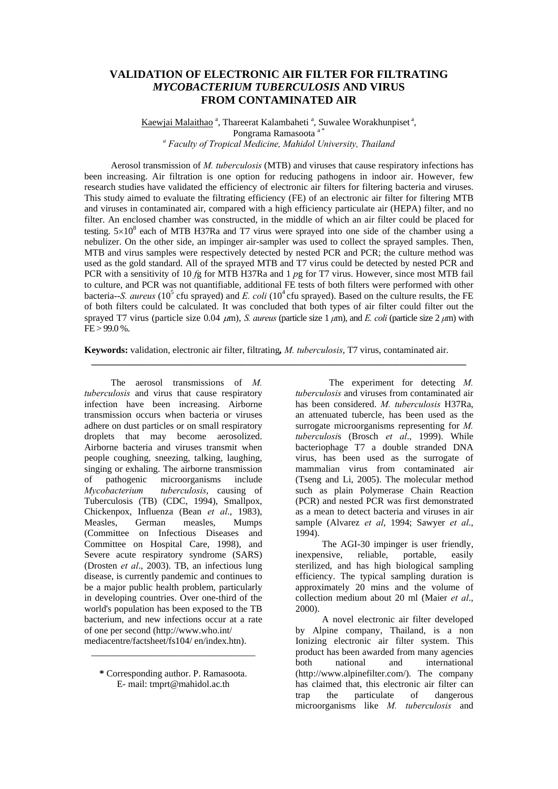# **VALIDATION OF ELECTRONIC AIR FILTER FOR FILTRATING** *MYCOBACTERIUM TUBERCULOSIS* **AND VIRUS FROM CONTAMINATED AIR**

# Kaewjai Malaithao<sup>a</sup>, Thareerat Kalambaheti<sup>a</sup>, Suwalee Worakhunpiset<sup>a</sup>, Pongrama Ramasoota<sup>a</sup> *a Faculty of Tropical Medicine, Mahidol University, Thailand*

Aerosol transmission of *M. tuberculosis* (MTB) and viruses that cause respiratory infections has been increasing. Air filtration is one option for reducing pathogens in indoor air. However, few research studies have validated the efficiency of electronic air filters for filtering bacteria and viruses. This study aimed to evaluate the filtrating efficiency (FE) of an electronic air filter for filtering MTB and viruses in contaminated air, compared with a high efficiency particulate air (HEPA) filter, and no filter. An enclosed chamber was constructed, in the middle of which an air filter could be placed for testing.  $5 \times 10^8$  each of MTB H37Ra and T7 virus were sprayed into one side of the chamber using a nebulizer. On the other side, an impinger air-sampler was used to collect the sprayed samples. Then, MTB and virus samples were respectively detected by nested PCR and PCR; the culture method was used as the gold standard. All of the sprayed MTB and T7 virus could be detected by nested PCR and PCR with a sensitivity of 10 *f*g for MTB H37Ra and 1 *p*g for T7 virus. However, since most MTB fail to culture, and PCR was not quantifiable, additional FE tests of both filters were performed with other bacteria--*S. aureus* (10<sup>5</sup> cfu sprayed) and *E. coli* (10<sup>4</sup> cfu sprayed). Based on the culture results, the FE of both filters could be calculated. It was concluded that both types of air filter could filter out the sprayed T7 virus (particle size 0.04 μm), *S. aureus* (particle size 1 *μ*m), and *E. coli* (particle size 2 *μ*m) with  $FE > 99.0\%$ .

**Keywords:** validation, electronic air filter, filtrating*, M. tuberculosis*, T7 virus, contaminated air.

**\_\_\_\_\_\_\_\_\_\_\_\_\_\_\_\_\_\_\_\_\_\_\_\_\_\_\_\_\_\_\_\_\_\_\_\_\_\_\_\_\_\_\_\_\_\_\_\_\_\_\_\_\_\_\_\_\_\_\_\_\_\_\_\_\_\_\_\_\_\_\_\_\_\_\_\_\_\_\_\_**

 The aerosol transmissions of *M. tuberculosis* and virus that cause respiratory infection have been increasing. Airborne transmission occurs when bacteria or viruses adhere on dust particles or on small respiratory droplets that may become aerosolized. Airborne bacteria and viruses transmit when people coughing, sneezing, talking, laughing, singing or exhaling. The airborne transmission of pathogenic microorganisms include *Mycobacterium tuberculosis*, causing of Tuberculosis (TB) (CDC, 1994), Smallpox, Chickenpox, Influenza (Bean *et al*., 1983), Measles, German measles, Mumps (Committee on Infectious Diseases and Committee on Hospital Care, 1998), and Severe acute respiratory syndrome (SARS) (Drosten *et al*., 2003). TB, an infectious lung disease, is currently pandemic and continues to be a major public health problem, particularly in developing countries. Over one-third of the world's population has been exposed to the TB bacterium, and new infections occur at a rate of one per second (http://www.who.int/ mediacentre/factsheet/fs104/ en/index.htn).

\_\_\_\_\_\_\_\_\_\_\_\_\_\_\_\_\_\_\_\_\_\_\_\_\_\_\_\_\_\_\_\_\_\_\_

The experiment for detecting *M. tuberculosis* and viruses from contaminated air has been considered. *M. tuberculosis* H37Ra, an attenuated tubercle, has been used as the surrogate microorganisms representing for *M. tuberculosi*s (Brosch *et al*., 1999). While bacteriophage T7 a double stranded DNA virus, has been used as the surrogate of mammalian virus from contaminated air (Tseng and Li, 2005). The molecular method such as plain Polymerase Chain Reaction (PCR) and nested PCR was first demonstrated as a mean to detect bacteria and viruses in air sample (Alvarez *et al*, 1994; Sawyer *et al*., 1994).

 The AGI-30 impinger is user friendly, inexpensive, reliable, portable, easily sterilized, and has high biological sampling efficiency. The typical sampling duration is approximately 20 mins and the volume of collection medium about 20 ml (Maier *et al*., 2000).

 A novel electronic air filter developed by Alpine company, Thailand, is a non Ionizing electronic air filter system. This product has been awarded from many agencies both national and international (http://www.alpinefilter.com/). The company has claimed that, this electronic air filter can trap the particulate of dangerous microorganisms like *M. tuberculosis* and

**<sup>\*</sup>** Corresponding author. P. Ramasoota. E- mail: tmprt@mahidol.ac.th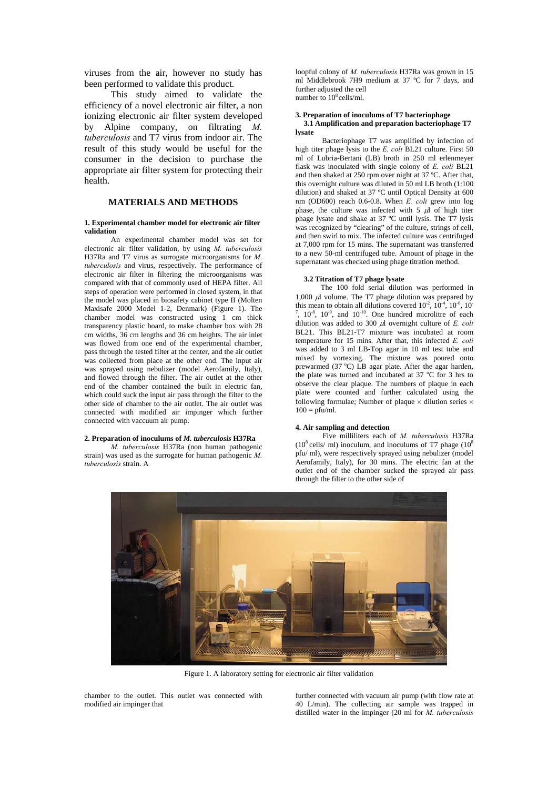viruses from the air, however no study has been performed to validate this product.

This study aimed to validate the efficiency of a novel electronic air filter, a non ionizing electronic air filter system developed by Alpine company, on filtrating *M. tuberculosis* and T7 virus from indoor air. The result of this study would be useful for the consumer in the decision to purchase the appropriate air filter system for protecting their health.

# **MATERIALS AND METHODS**

#### **1. Experimental chamber model for electronic air filter validation**

 An experimental chamber model was set for electronic air filter validation, by using *M. tuberculosis* H37Ra and T7 virus as surrogate microorganisms for *M. tuberculosis* and virus, respectively. The performance of electronic air filter in filtering the microorganisms was compared with that of commonly used of HEPA filter. All steps of operation were performed in closed system, in that the model was placed in biosafety cabinet type II (Molten Maxisafe 2000 Model 1-2, Denmark) (Figure 1). The chamber model was constructed using 1 cm thick transparency plastic board, to make chamber box with 28 cm widths, 36 cm lengths and 36 cm heights. The air inlet was flowed from one end of the experimental chamber, pass through the tested filter at the center, and the air outlet was collected from place at the other end. The input air was sprayed using nebulizer (model Aerofamily, Italy), and flowed through the filter. The air outlet at the other end of the chamber contained the built in electric fan, which could suck the input air pass through the filter to the other side of chamber to the air outlet. The air outlet was connected with modified air impinger which further connected with vaccuum air pump.

## **2. Preparation of inoculums of** *M. tuberculosis* **H37Ra**

*M. tuberculosis* H37Ra (non human pathogenic strain) was used as the surrogate for human pathogenic *M. tuberculosis* strain. A

loopful colony of *M. tuberculosis* H37Ra was grown in 15 ml Middlebrook 7H9 medium at 37 ºC for 7 days, and further adjusted the cell number to 10<sup>8</sup> cells/ml.

#### **3. Preparation of inoculums of T7 bacteriophage 3.1 Amplification and preparation bacteriophage T7 lysate**

 Bacteriophage T7 was amplified by infection of high titer phage lysis to the *E. coli* BL21 culture. First 50 ml of Lubria-Bertani (LB) broth in 250 ml erlenmeyer flask was inoculated with single colony of *E. coli* BL21 and then shaked at 250 rpm over night at 37 ºC. After that, this overnight culture was diluted in 50 ml LB broth (1:100 dilution) and shaked at 37 ºC until Optical Density at 600 nm (OD600) reach 0.6-0.8. When *E. coli* grew into log phase, the culture was infected with 5  $\mu$  of high titer phage lysate and shake at 37 ºC until lysis. The T7 lysis was recognized by "clearing" of the culture, strings of cell, and then swirl to mix. The infected culture was centrifuged at 7,000 rpm for 15 mins. The supernatant was transferred to a new 50-ml centrifuged tube. Amount of phage in the supernatant was checked using phage titration method.

#### **3.2 Titration of T7 phage lysate**

The 100 fold serial dilution was performed in 1,000  $\mu$ l volume. The T7 phage dilution was prepared by this mean to obtain all dilutions covered  $10^{-2}$ ,  $10^{-4}$ ,  $10^{-6}$ ,  $10^{-7}$  $7$ ,  $10^{-8}$ ,  $10^{-9}$ , and  $10^{-10}$ . One hundred microlitre of each dilution was added to 300 μl overnight culture of *E. coli* BL21. This BL21-T7 mixture was incubated at room temperature for 15 mins. After that, this infected *E. coli* was added to 3 ml LB-Top agar in 10 ml test tube and mixed by vortexing. The mixture was poured onto prewarmed  $(37 \degree C)$  LB agar plate. After the agar harden, the plate was turned and incubated at 37 °C for 3 hrs to observe the clear plaque. The numbers of plaque in each plate were counted and further calculated using the following formulae; Number of plaque  $\times$  dilution series  $\times$  $100 = \text{pfu/ml}.$ 

#### **4. Air sampling and detection**

 Five milliliters each of *M. tuberculosis* H37Ra  $(10^8 \text{ cells/m})$  inoculum, and inoculums of T7 phage  $(10^8 \text{ cells/m})$ pfu/ ml), were respectively sprayed using nebulizer (model Aerofamily, Italy), for 30 mins. The electric fan at the outlet end of the chamber sucked the sprayed air pass through the filter to the other side of



Figure 1. A laboratory setting for electronic air filter validation

chamber to the outlet. This outlet was connected with modified air impinger that

further connected with vacuum air pump (with flow rate at 40 L/min). The collecting air sample was trapped in distilled water in the impinger (20 ml for *M. tuberculosis*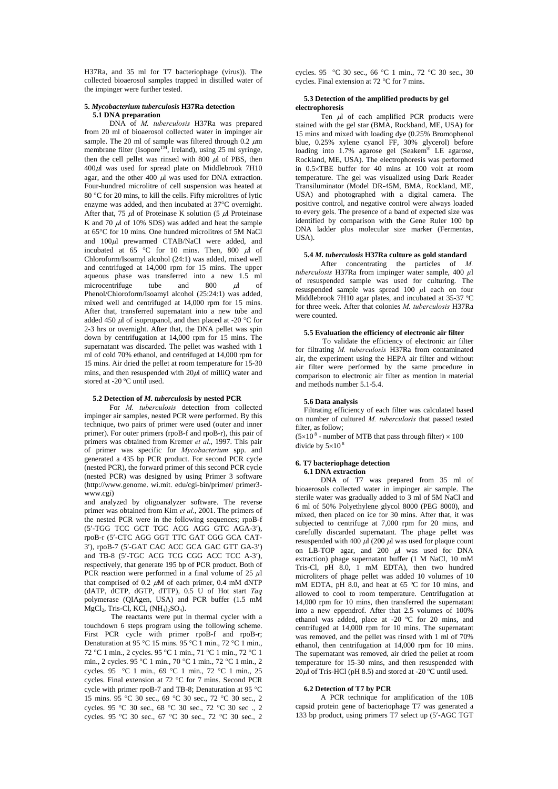H37Ra, and 35 ml for T7 bacteriophage (virus)). The collected bioaerosol samples trapped in distilled water of the impinger were further tested.

#### **5.** *Mycobacterium tuberculosis* **H37Ra detection 5.1 DNA preparation**

DNA of *M. tuberculosis* H37Ra was prepared from 20 ml of bioaerosol collected water in impinger air sample. The 20 ml of sample was filtered through  $0.2 \mu m$ membrane filter (Isopore<sup>TM</sup>, Ireland), using 25 ml syringe, then the cell pellet was rinsed with 800  $\mu$ l of PBS, then 400μl was used for spread plate on Middlebrook 7H10 agar, and the other 400  $\mu$ l was used for DNA extraction. Four-hundred microlitre of cell suspension was heated at 80 °C for 20 mins, to kill the cells. Fifty microlitres of lytic enzyme was added, and then incubated at 37°C overnight. After that, 75  $\mu$ l of Proteinase K solution (5  $\mu$ l Proteinase K and 70  $\mu$ l of 10% SDS) was added and heat the sample at 65°C for 10 mins. One hundred microlitres of 5M NaCl and 100μl prewarmed CTAB/NaCl were added, and incubated at 65 °C for 10 mins. Then, 800  $\mu$ l of Chloroform/Isoamyl alcohol (24:1) was added, mixed well and centrifuged at 14,000 rpm for 15 mins. The upper aqueous phase was transferred into a new  $1.5 \text{ ml}$ <br>microcentrifuge tube and  $800 \text{ ul}$  of microcentrifuge tube and  $800 \mu l$  of Phenol/Chloroform/Isoamyl alcohol (25:24:1) was added, mixed well and centrifuged at 14,000 rpm for 15 mins. After that, transferred supernatant into a new tube and added 450  $\mu$ l of isopropanol, and then placed at -20 °C for 2-3 hrs or overnight. After that, the DNA pellet was spin down by centrifugation at 14,000 rpm for 15 mins. The supernatant was discarded. The pellet was washed with 1 ml of cold 70% ethanol, and centrifuged at 14,000 rpm for 15 mins. Air dried the pellet at room temperature for 15-30 mins, and then resuspended with  $20\mu$ l of milliQ water and stored at -20 °C until used.

#### **5.2 Detection of** *M. tuberculosis* **by nested PCR**

For *M. tuberculosis* detection from collected impinger air samples, nested PCR were performed. By this technique, two pairs of primer were used (outer and inner primer). For outer primers (rpoB-f and rpoB-r), this pair of primers was obtained from Kremer *et al*., 1997. This pair of primer was specific for *Mycobacterium* spp. and generated a 435 bp PCR product. For second PCR cycle (nested PCR), the forward primer of this second PCR cycle (nested PCR) was designed by using Primer 3 software (http://www.genome. wi.mit. edu/cgi-bin/primer/ primer3 www.cgi)

and analyzed by oligoanalyzer software. The reverse primer was obtained from Kim *et al*., 2001. The primers of the nested PCR were in the following sequences; rpoB-f (5′-TGG TCC GCT TGC ACG AGG GTC AGA-3′), rpoB-r (5′-CTC AGG GGT TTC GAT CGG GCA CAT-3′), rpoB-7 (5′-GAT CAC ACC GCA GAC GTT GA-3′) and TB-8 (5′-TGC ACG TCG CGG ACC TCC A-3′), respectively, that generate 195 bp of PCR product. Both of PCR reaction were performed in a final volume of 25 *µ*l that comprised of 0.2  $\mu$ M of each primer, 0.4 mM dNTP (dATP, dCTP, dGTP, dTTP), 0.5 U of Hot start *Taq* polymerase (QIAgen, USA) and PCR buffer (1.5 mM MgCl2, Tris-Cl, KCl, (NH4)2SO4).

 The reactants were put in thermal cycler with a touchdown 6 steps program using the following scheme. First PCR cycle with primer rpoB-f and rpoB-r; Denaturation at 95 °C 15 mins. 95 °C 1 min., 72 °C 1 min., 72 °C 1 min., 2 cycles. 95 °C 1 min., 71 °C 1 min., 72 °C 1 min., 2 cycles. 95 °C 1 min., 70 °C 1 min., 72 °C 1 min., 2 cycles. 95 °C 1 min., 69 °C 1 min., 72 °C 1 min., 25 cycles. Final extension at 72 °C for 7 mins. Second PCR cycle with primer rpoB-7 and TB-8; Denaturation at 95 °C 15 mins. 95 °C 30 sec., 69 °C 30 sec., 72 °C 30 sec., 2 cycles. 95 °C 30 sec., 68 °C 30 sec., 72 °C 30 sec ., 2 cycles. 95 °C 30 sec., 67 °C 30 sec., 72 °C 30 sec., 2

cycles. 95 °C 30 sec., 66 °C 1 min., 72 °C 30 sec., 30 cycles. Final extension at 72 °C for 7 mins.

## **5.3 Detection of the amplified products by gel electrophoresis**

Ten μl of each amplified PCR products were stained with the gel star (BMA, Rockband, ME, USA) for 15 mins and mixed with loading dye (0.25% Bromophenol blue, 0.25% xylene cyanol FF, 30% glycerol) before loading into 1.7% agarose gel (Seakem® LE agarose, Rockland, ME, USA). The electrophoresis was performed in 0.5×TBE buffer for 40 mins at 100 volt at room temperature. The gel was visualized using Dark Reader Transiluminator (Model DR-45M, BMA, Rockland, ME, USA) and photographed with a digital camera. The positive control, and negative control were always loaded to every gels. The presence of a band of expected size was identified by comparison with the Gene Ruler 100 bp DNA ladder plus molecular size marker (Fermentas, USA).

### **5.4** *M. tuberculosis* **H37Ra culture as gold standard**

After concentrating the particles of *M. tuberculosis* H37Ra from impinger water sample, 400 *µ*l of resuspended sample was used for culturing. The resuspended sample was spread  $100 \mu l$  each on four Middlebrook 7H10 agar plates, and incubated at 35-37 ºC for three week. After that colonies *M. tuberculosis* H37Ra were counted.

#### **5.5 Evaluation the efficiency of electronic air filter**

To validate the efficiency of electronic air filter for filtrating *M. tuberculosis* H37Ra from contaminated air, the experiment using the HEPA air filter and without air filter were performed by the same procedure in comparison to electronic air filter as mention in material and methods number 5.1-5.4.

#### **5.6 Data analysis**

Filtrating efficiency of each filter was calculated based on number of cultured *M. tuberculosis* that passed tested filter, as follow;

 $(5\times10^8$  - number of MTB that pass through filter)  $\times 100$ divide by  $5{\times}10^8$ 

#### **6. T7 bacteriophage detection 6.1 DNA extraction**

DNA of T7 was prepared from 35 ml of bioaerosols collected water in impinger air sample. The sterile water was gradually added to 3 ml of 5M NaCl and 6 ml of 50% Polyethylene glycol 8000 (PEG 8000), and mixed, then placed on ice for 30 mins. After that, it was subjected to centrifuge at 7,000 rpm for 20 mins, and carefully discarded supernatant. The phage pellet was resuspended with 400  $\mu$ l (200  $\mu$ l was used for plaque count on LB-TOP agar, and  $200 \mu l$  was used for DNA extraction) phage supernatant buffer (1 M NaCl, 10 mM Tris-Cl, pH 8.0, 1 mM EDTA), then two hundred microliters of phage pellet was added 10 volumes of 10 mM EDTA, pH 8.0, and heat at 65 ºC for 10 mins, and allowed to cool to room temperature. Centrifugation at 14,000 rpm for 10 mins, then transferred the supernatant into a new eppendrof. After that 2.5 volumes of 100% ethanol was added, place at -20 ºC for 20 mins, and centrifuged at 14,000 rpm for 10 mins. The supernatant was removed, and the pellet was rinsed with 1 ml of 70% ethanol, then centrifugation at 14,000 rpm for 10 mins. The supernatant was removed, air dried the pellet at room temperature for 15-30 mins, and then resuspended with  $20 \mu$  of Tris-HCl (pH 8.5) and stored at -20 °C until used.

#### **6.2 Detection of T7 by PCR**

A PCR technique for amplification of the 10B capsid protein gene of bacteriophage T7 was generated a 133 bp product, using primers T7 select up (5′-AGC TGT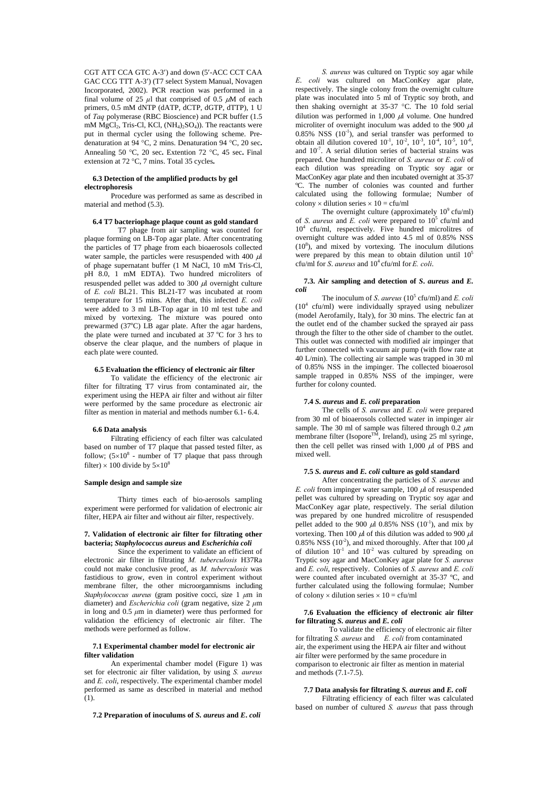CGT ATT CCA GTC A-3′) and down (5′-ACC CCT CAA GAC CCG TTT A-3′) (T7 select System Manual, Novagen Incorporated, 2002). PCR reaction was performed in a final volume of 25  $\mu$ l that comprised of 0.5  $\mu$ M of each primers, 0.5 mM dNTP (dATP, dCTP, dGTP, dTTP), 1 U of *Taq* polymerase (RBC Bioscience) and PCR buffer (1.5 mM  $MgCl<sub>2</sub>$ , Tris-Cl, KCl,  $(NH<sub>4</sub>)<sub>2</sub>SO<sub>4</sub>)$ ). The reactants were put in thermal cycler using the following scheme. Predenaturation at 94 °C, 2 mins. Denaturation 94 °C, 20 sec**.**  Annealing 50 °C, 20 sec**.** Extention 72 °C, 45 sec**.** Final extension at 72 °C, 7 mins. Total 35 cycles**.** 

## **6.3 Detection of the amplified products by gel electrophoresis**

 Procedure was performed as same as described in material and method (5.3).

#### **6.4 T7 bacteriophage plaque count as gold standard**

T7 phage from air sampling was counted for plaque forming on LB-Top agar plate. After concentrating the particles of T7 phage from each bioaerosols collected water sample, the particles were resuspended with 400  $\mu$ l of phage supernatant buffer (1 M NaCl, 10 mM Tris-Cl, pH 8.0, 1 mM EDTA). Two hundred microliters of resuspended pellet was added to 300 μl overnight culture of *E. coli* BL21. This BL21-T7 was incubated at room temperature for 15 mins. After that, this infected *E. coli* were added to 3 ml LB-Top agar in 10 ml test tube and mixed by vortexing. The mixture was poured onto prewarmed (37°C) LB agar plate. After the agar hardens, the plate were turned and incubated at  $37^{\circ}$ C for 3 hrs to observe the clear plaque, and the numbers of plaque in each plate were counted.

# **6.5 Evaluation the efficiency of electronic air filter**

To validate the efficiency of the electronic air filter for filtrating T7 virus from contaminated air, the experiment using the HEPA air filter and without air filter were performed by the same procedure as electronic air filter as mention in material and methods number 6.1- 6.4.

## **6.6 Data analysis**

 Filtrating efficiency of each filter was calculated based on number of T7 plaque that passed tested filter, as follow;  $(5\times10^8$  - number of T7 plaque that pass through filter)  $\times$  100 divide by  $5\times10^8$ 

#### **Sample design and sample size**

Thirty times each of bio-aerosols sampling experiment were performed for validation of electronic air filter, HEPA air filter and without air filter, respectively.

# **7. Validation of electronic air filter for filtrating other bacteria;** *Staphylococcus aureus* **and** *Escherichia coli*

Since the experiment to validate an efficient of electronic air filter in filtrating *M. tuberculosis* H37Ra could not make conclusive proof, as *M. tuberculosis* was fastidious to grow, even in control experiment without membrane filter, the other microorgamnisms including *Staphylococcus aureus* (gram positive cocci, size 1 *μ*m in diameter) and *Escherichia coli* (gram negative, size 2 *μ*m in long and 0.5 *μ*m in diameter) were thus performed for validation the efficiency of electronic air filter. The methods were performed as follow.

#### **7.1 Experimental chamber model for electronic air filter validation**

An experimental chamber model (Figure 1) was set for electronic air filter validation, by using *S. aureus* and *E. coli*, respectively. The experimental chamber model performed as same as described in material and method (1).

**7.2 Preparation of inoculums of** *S. aureus* **and** *E***.** *coli*

*S. aureus* was cultured on Tryptic soy agar while *E*. *coli* was cultured on MacConKey agar plate, respectively. The single colony from the overnight culture plate was inoculated into 5 ml of Tryptic soy broth, and then shaking overnight at 35-37 °C. The 10 fold serial dilution was performed in 1,000  $\mu$ l volume. One hundred microliter of overnight inoculum was added to the 900  $\mu$ l  $0.85\%$  NSS  $(10^{-1})$ , and serial transfer was performed to obtain all dilution covered  $10^{-1}$ ,  $10^{-2}$ ,  $10^{-3}$ ,  $10^{-4}$ ,  $10^{-5}$ ,  $10^{-6}$ , and  $10^{-7}$ . A serial dilution series of bacterial strains was prepared. One hundred microliter of *S. aureus* or *E. coli* of each dilution was spreading on Tryptic soy agar or MacConKey agar plate and then incubated overnight at 35-37 ºC. The number of colonies was counted and further calculated using the following formulae; Number of colony  $\times$  dilution series  $\times$  10 = cfu/ml

The overnight culture (approximately  $10^9$  cfu/ml) of *S. aureus* and *E. coli* were prepared to 10<sup>5</sup> cfu/ml and  $10<sup>4</sup>$  cfu/ml, respectively. Five hundred microlitres of overnight culture was added into 4.5 ml of 0.85% NSS  $(10<sup>8</sup>)$ , and mixed by vortexing. The inoculum dilutions were prepared by this mean to obtain dilution until  $10<sup>5</sup>$ cfu/ml for *S*. *aureus* and 104 cfu/ml for *E. coli*.

#### **7.3. Air sampling and detection of** *S***.** *aureus* **and** *E. coli*

The inoculum of *S. aureus*  $(10^5 \text{ cftl/ml})$  and *E. coli* (10<sup>4</sup> cfu/ml) were individually sprayed using nebulizer (model Aerofamily, Italy), for 30 mins. The electric fan at the outlet end of the chamber sucked the sprayed air pass through the filter to the other side of chamber to the outlet. This outlet was connected with modified air impinger that further connected with vacuum air pump (with flow rate at 40 L/min). The collecting air sample was trapped in 30 ml of 0.85% NSS in the impinger. The collected bioaerosol sample trapped in 0.85% NSS of the impinger, were further for colony counted.

#### **7.4** *S. aureus* **and** *E. coli* **preparation**

 The cells of *S. aureus* and *E. coli* were prepared from 30 ml of bioaerosols collected water in impinger air sample. The 30 ml of sample was filtered through  $0.2 \mu m$ membrane filter (Isopore<sup>TM</sup>, Ireland), using 25 ml syringe, then the cell pellet was rinsed with  $1,000 \mu$  of PBS and mixed well.

#### **7.5** *S. aureus* **and** *E. coli* **culture as gold standard**

After concentrating the particles of *S. aureus* and *E. coli* from impinger water sample, 100 μl of resuspended pellet was cultured by spreading on Tryptic soy agar and MacConKey agar plate, respectively. The serial dilution was prepared by one hundred microlitre of resuspended pellet added to the 900  $\mu$ l 0.85% NSS (10<sup>-1</sup>), and mix by vortexing. Then 100  $\mu$ l of this dilution was added to 900  $\mu$ l 0.85% NSS ( $10^{-2}$ ), and mixed thoroughly. After that 100  $\mu$ of dilution  $10^{-1}$  and  $10^{-2}$  was cultured by spreading on Tryptic soy agar and MacConKey agar plate for *S. aureus* and *E. coli*, respectively. Colonies of *S. aureus* and *E. coli* were counted after incubated overnight at 35-37 ºC, and further calculated using the following formulae; Number of colony  $\times$  dilution series  $\times$  10 = cfu/ml

#### **7.6 Evaluation the efficiency of electronic air filter for filtrating** *S. aureus* **and** *E. coli*

To validate the efficiency of electronic air filter for filtrating *S. aureus* and *E. coli* from contaminated air, the experiment using the HEPA air filter and without air filter were performed by the same procedure in comparison to electronic air filter as mention in material and methods (7.1-7.5).

# **7.7 Data analysis for filtrating** *S. aureus* **and** *E. coli*

 Filtrating efficiency of each filter was calculated based on number of cultured *S. aureus* that pass through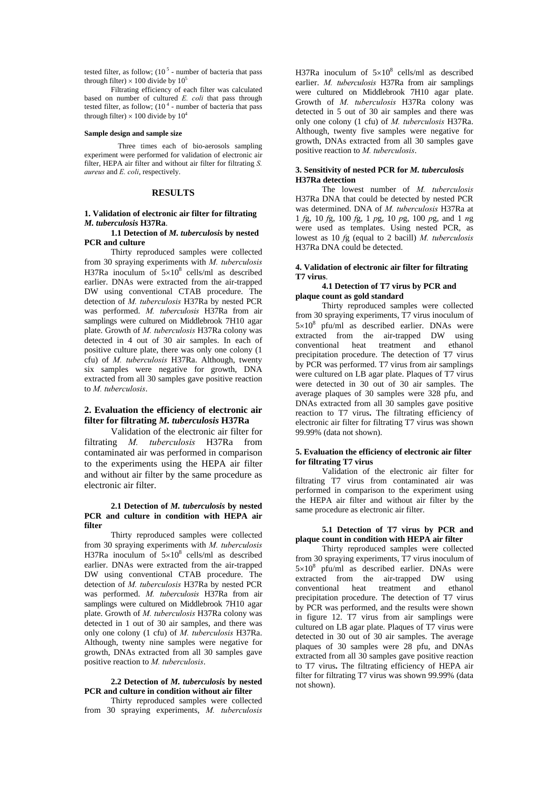tested filter, as follow;  $(10<sup>5</sup>$  - number of bacteria that pass through filter)  $\times$  100 divide by 10<sup>5</sup>

Filtrating efficiency of each filter was calculated based on number of cultured *E. coli* that pass through tested filter, as follow;  $(10<sup>4</sup>$  - number of bacteria that pass through filter)  $\times$  100 divide by 10<sup>4</sup>

## **Sample design and sample size**

Three times each of bio-aerosols sampling experiment were performed for validation of electronic air filter, HEPA air filter and without air filter for filtrating *S. aureus* and *E. coli*, respectively.

# **RESULTS**

# **1. Validation of electronic air filter for filtrating**  *M. tuberculosis* **H37Ra**.

# **1.1 Detection of** *M. tuberculosis* **by nested PCR and culture**

Thirty reproduced samples were collected from 30 spraying experiments with *M. tuberculosis* H37Ra inoculum of  $5 \times 10^8$  cells/ml as described earlier. DNAs were extracted from the air-trapped DW using conventional CTAB procedure. The detection of *M. tuberculosis* H37Ra by nested PCR was performed. *M. tuberculosis* H37Ra from air samplings were cultured on Middlebrook 7H10 agar plate. Growth of *M. tuberculosis* H37Ra colony was detected in 4 out of 30 air samples. In each of positive culture plate, there was only one colony (1 cfu) of *M. tuberculosis* H37Ra. Although, twenty six samples were negative for growth, DNA extracted from all 30 samples gave positive reaction to *M. tuberculosis*.

# **2. Evaluation the efficiency of electronic air filter for filtrating** *M. tuberculosis* **H37Ra**

Validation of the electronic air filter for filtrating *M. tuberculosis* H37Ra from contaminated air was performed in comparison to the experiments using the HEPA air filter and without air filter by the same procedure as electronic air filter.

# **2.1 Detection of** *M. tuberculosis* **by nested PCR and culture in condition with HEPA air filter**

Thirty reproduced samples were collected from 30 spraying experiments with *M. tuberculosis* H37Ra inoculum of  $5 \times 10^8$  cells/ml as described earlier. DNAs were extracted from the air-trapped DW using conventional CTAB procedure. The detection of *M. tuberculosis* H37Ra by nested PCR was performed. *M. tuberculosis* H37Ra from air samplings were cultured on Middlebrook 7H10 agar plate. Growth of *M. tuberculosis* H37Ra colony was detected in 1 out of 30 air samples, and there was only one colony (1 cfu) of *M. tuberculosis* H37Ra. Although, twenty nine samples were negative for growth, DNAs extracted from all 30 samples gave positive reaction to *M. tuberculosis*.

# **2.2 Detection of** *M. tuberculosis* **by nested PCR and culture in condition without air filter**

Thirty reproduced samples were collected from 30 spraying experiments, *M. tuberculosis*

H37Ra inoculum of  $5\times10^8$  cells/ml as described earlier. *M. tuberculosis* H37Ra from air samplings were cultured on Middlebrook 7H10 agar plate. Growth of *M. tuberculosis* H37Ra colony was detected in 5 out of 30 air samples and there was only one colony (1 cfu) of *M. tuberculosis* H37Ra. Although, twenty five samples were negative for growth, DNAs extracted from all 30 samples gave positive reaction to *M. tuberculosis*.

# **3. Sensitivity of nested PCR for** *M. tuberculosis* **H37Ra detection**

 The lowest number of *M. tuberculosis* H37Ra DNA that could be detected by nested PCR was determined. DNA of *M. tuberculosis* H37Ra at 1 *f*g, 10 *f*g, 100 *f*g, 1 *p*g, 10 *p*g, 100 *p*g, and 1 *n*g were used as templates. Using nested PCR, as lowest as 10 *f*g (equal to 2 bacill) *M. tuberculosis* H37Ra DNA could be detected.

# **4. Validation of electronic air filter for filtrating T7 virus**.

# **4.1 Detection of T7 virus by PCR and plaque count as gold standard**

 Thirty reproduced samples were collected from 30 spraying experiments, T7 virus inoculum of  $5 \times 10^8$  pfu/ml as described earlier. DNAs were extracted from the air-trapped DW using conventional heat treatment and ethanol precipitation procedure. The detection of T7 virus by PCR was performed. T7 virus from air samplings were cultured on LB agar plate. Plaques of T7 virus were detected in 30 out of 30 air samples. The average plaques of 30 samples were 328 pfu, and DNAs extracted from all 30 samples gave positive reaction to T7 virus**.** The filtrating efficiency of electronic air filter for filtrating T7 virus was shown 99.99% (data not shown).

# **5. Evaluation the efficiency of electronic air filter for filtrating T7 virus**

Validation of the electronic air filter for filtrating T7 virus from contaminated air was performed in comparison to the experiment using the HEPA air filter and without air filter by the same procedure as electronic air filter.

# **5.1 Detection of T7 virus by PCR and plaque count in condition with HEPA air filter**

 Thirty reproduced samples were collected from 30 spraying experiments, T7 virus inoculum of  $5 \times 10^8$  pfu/ml as described earlier. DNAs were extracted from the air-trapped DW using<br>conventional heat treatment and ethanol conventional heat treatment precipitation procedure. The detection of T7 virus by PCR was performed, and the results were shown in figure 12. T7 virus from air samplings were cultured on LB agar plate. Plaques of T7 virus were detected in 30 out of 30 air samples. The average plaques of 30 samples were 28 pfu, and DNAs extracted from all  $30$  samples gave positive reaction to T7 virus**.** The filtrating efficiency of HEPA air filter for filtrating T7 virus was shown 99.99% (data not shown).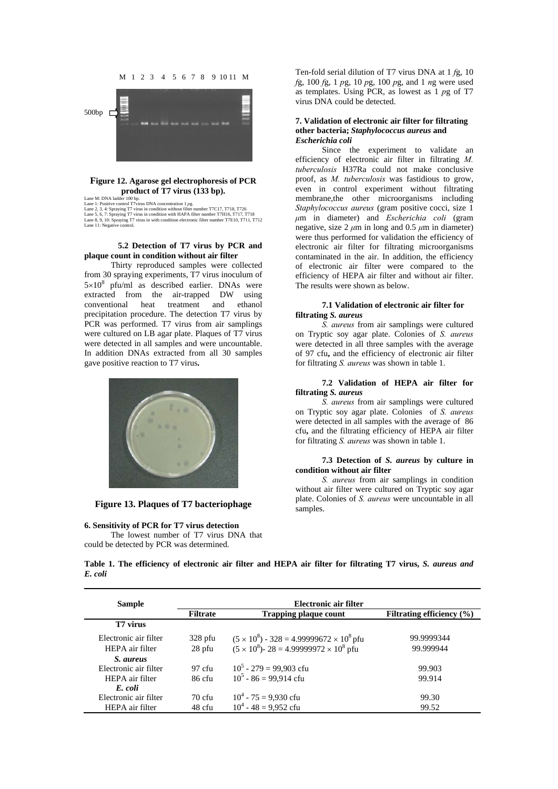

# **Figure 12. Agarose gel electrophoresis of PCR**

**EXECUTE: CONSTRANT CONSTRANT CONSTRANT CONSTRANT DETAILS (133 bp).**<br>
Lane M: DNA ladder 100 bp.<br>
Lane 1: Positive control T7virus DNA concentration 1 *pg*.<br>
Lane 2, 3, 4: Spraying T7 virus in condition without filter n

# **5.2 Detection of T7 virus by PCR and plaque count in condition without air filter**

 Thirty reproduced samples were collected from 30 spraying experiments, T7 virus inoculum of  $5 \times 10^8$  pfu/ml as described earlier. DNAs were extracted from the air-trapped DW using conventional heat treatment and ethanol precipitation procedure. The detection T7 virus by PCR was performed. T7 virus from air samplings were cultured on LB agar plate. Plaques of T7 virus were detected in all samples and were uncountable. In addition DNAs extracted from all 30 samples gave positive reaction to T7 virus**.** 



**Figure 13. Plaques of T7 bacteriophage** 

# **6. Sensitivity of PCR for T7 virus detection**  The lowest number of T7 virus DNA that

could be detected by PCR was determined.

Ten-fold serial dilution of T7 virus DNA at 1 *f*g, 10 *f*g, 100 *f*g, 1 *p*g, 10 *p*g, 100 *p*g, and 1 *n*g were used as templates. Using PCR, as lowest as 1 *p*g of T7 virus DNA could be detected.

# **7. Validation of electronic air filter for filtrating other bacteria;** *Staphylococcus aureus* **and**  *Escherichia coli*

Since the experiment to validate an efficiency of electronic air filter in filtrating *M. tuberculosis* H37Ra could not make conclusive proof, as *M. tuberculosis* was fastidious to grow, even in control experiment without filtrating membrane,the other microorganisms including *Staphylococcus aureus* (gram positive cocci, size 1 *μ*m in diameter) and *Escherichia coli* (gram negative, size  $2 \mu m$  in long and 0.5  $\mu m$  in diameter) were thus performed for validation the efficiency of electronic air filter for filtrating microorganisms contaminated in the air. In addition, the efficiency of electronic air filter were compared to the efficiency of HEPA air filter and without air filter. The results were shown as below.

# **7.1 Validation of electronic air filter for filtrating** *S. aureus*

*S. aureus* from air samplings were cultured on Tryptic soy agar plate. Colonies of *S. aureus* were detected in all three samples with the average of 97 cfu**,** and the efficiency of electronic air filter for filtrating *S. aureus* was shown in table 1.

# **7.2 Validation of HEPA air filter for filtrating** *S. aureus*

*S. aureus* from air samplings were cultured on Tryptic soy agar plate. Colonies of *S. aureus* were detected in all samples with the average of 86 cfu**,** and the filtrating efficiency of HEPA air filter for filtrating *S. aureus* was shown in table 1.

# **7.3 Detection of** *S. aureus* **by culture in condition without air filter**

*S. aureus* from air samplings in condition without air filter were cultured on Tryptic soy agar plate. Colonies of *S. aureus* were uncountable in all samples.

**Table 1. The efficiency of electronic air filter and HEPA air filter for filtrating T7 virus,** *S. aureus and E. coli* 

| <b>Sample</b>         | Electronic air filter |                                                           |                               |
|-----------------------|-----------------------|-----------------------------------------------------------|-------------------------------|
|                       | <b>Filtrate</b>       | <b>Trapping plaque count</b>                              | Filtrating efficiency $(\% )$ |
| T7 virus              |                       |                                                           |                               |
| Electronic air filter | $328$ pfu             | $(5 \times 10^8)$ - 328 = 4.99999672 $\times 10^8$ pfu    | 99.9999344                    |
| HEPA air filter       | 28 pfu                | $(5 \times 10^8)$ - 28 = 4.99999972 × 10 <sup>8</sup> pfu | 99.999944                     |
| <i>S. aureus</i>      |                       |                                                           |                               |
| Electronic air filter | 97 cfu                | $10^5 - 279 = 99,903$ cfu                                 | 99.903                        |
| HEPA air filter       | 86 cfu                | $10^5 - 86 = 99.914$ cfu                                  | 99.914                        |
| E. coli               |                       |                                                           |                               |
| Electronic air filter | 70 cfu                | $10^4 - 75 = 9,930$ cfu                                   | 99.30                         |
| HEPA air filter       | 48 cfu                | $10^4 - 48 = 9.952$ cfu                                   | 99.52                         |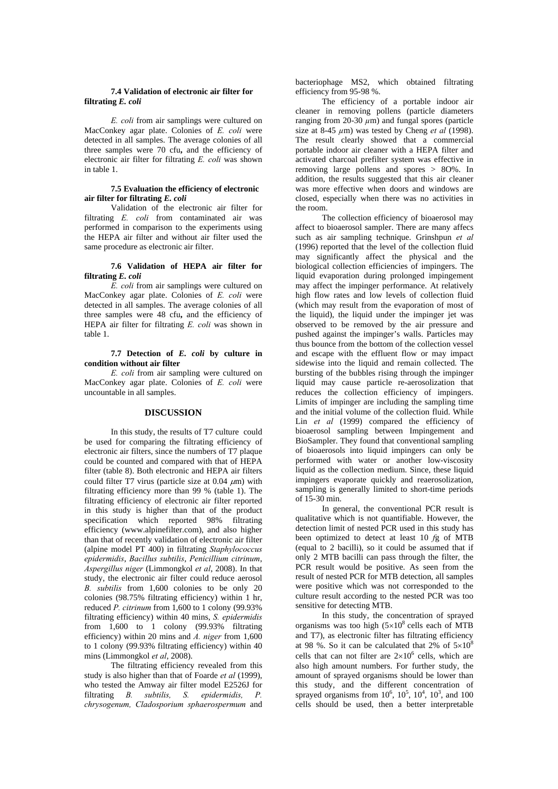# **7.4 Validation of electronic air filter for filtrating** *E. coli*

*E. coli* from air samplings were cultured on MacConkey agar plate. Colonies of *E. coli* were detected in all samples. The average colonies of all three samples were 70 cfu**,** and the efficiency of electronic air filter for filtrating *E. coli* was shown in table 1.

# **7.5 Evaluation the efficiency of electronic air filter for filtrating** *E. coli*

Validation of the electronic air filter for filtrating *E. coli* from contaminated air was performed in comparison to the experiments using the HEPA air filter and without air filter used the same procedure as electronic air filter.

# **7.6 Validation of HEPA air filter for filtrating** *E. coli*

*E. coli* from air samplings were cultured on MacConkey agar plate. Colonies of *E. coli* were detected in all samples. The average colonies of all three samples were 48 cfu**,** and the efficiency of HEPA air filter for filtrating *E. coli* was shown in table 1.

**7.7 Detection of** *E. coli* **by culture in condition without air filter**

*E. coli* from air sampling were cultured on MacConkey agar plate. Colonies of *E. coli* were uncountable in all samples.

# **DISCUSSION**

In this study, the results of T7 culture could be used for comparing the filtrating efficiency of electronic air filters, since the numbers of T7 plaque could be counted and compared with that of HEPA filter (table 8). Both electronic and HEPA air filters could filter T7 virus (particle size at  $0.04 \mu m$ ) with filtrating efficiency more than 99 % (table 1). The filtrating efficiency of electronic air filter reported in this study is higher than that of the product specification which reported 98% filtrating efficiency (www.alpinefilter.com), and also higher than that of recently validation of electronic air filter (alpine model PT 400) in filtrating *Staphylococcus epidermidis*, *Bacillus subtilis*, *Penicillium citrinum*, *Aspergillus niger* (Limmongkol *et al*, 2008). In that study, the electronic air filter could reduce aerosol *B. subtilis* from 1,600 colonies to be only 20 colonies (98.75% filtrating efficiency) within 1 hr, reduced *P. citrinum* from 1,600 to 1 colony (99.93% filtrating efficiency) within 40 mins, *S. epidermidis*  from 1,600 to 1 colony (99.93% filtrating efficiency) within 20 mins and *A. niger* from 1,600 to 1 colony (99.93% filtrating efficiency) within 40 mins (Limmongkol *et al*, 2008).

The filtrating efficiency revealed from this study is also higher than that of Foarde *et al* (1999), who tested the Amway air filter model E2526J for filtrating *B. subtilis, S. epidermidis, P. chrysogenum, Cladosporium sphaerospermum* and

bacteriophage MS2, which obtained filtrating efficiency from 95-98 %.

The efficiency of a portable indoor air cleaner in removing pollens (particle diameters ranging from  $20-30 \mu m$ ) and fungal spores (particle size at 8-45  $\mu$ m) was tested by Cheng *et al* (1998). The result clearly showed that a commercial portable indoor air cleaner with a HEPA filter and activated charcoal prefilter system was effective in removing large pollens and spores > 8O%. In addition, the results suggested that this air cleaner was more effective when doors and windows are closed, especially when there was no activities in the room.

 The collection efficiency of bioaerosol may affect to bioaerosol sampler. There are many affecs such as air sampling technique. Grinshpun *et al* (1996) reported that the level of the collection fluid may significantly affect the physical and the biological collection efficiencies of impingers. The liquid evaporation during prolonged impingement may affect the impinger performance. At relatively high flow rates and low levels of collection fluid (which may result from the evaporation of most of the liquid), the liquid under the impinger jet was observed to be removed by the air pressure and pushed against the impinger's walls. Particles may thus bounce from the bottom of the collection vessel and escape with the effluent flow or may impact sidewise into the liquid and remain collected. The bursting of the bubbles rising through the impinger liquid may cause particle re-aerosolization that reduces the collection efficiency of impingers. Limits of impinger are including the sampling time and the initial volume of the collection fluid. While Lin *et al* (1999) compared the efficiency of bioaerosol sampling between Impingement and BioSampler. They found that conventional sampling of bioaerosols into liquid impingers can only be performed with water or another low-viscosity liquid as the collection medium. Since, these liquid impingers evaporate quickly and reaerosolization, sampling is generally limited to short-time periods of 15-30 min.

 In general, the conventional PCR result is qualitative which is not quantifiable. However, the detection limit of nested PCR used in this study has been optimized to detect at least 10 *f*g of MTB (equal to 2 bacilli), so it could be assumed that if only 2 MTB bacilli can pass through the filter, the PCR result would be positive. As seen from the result of nested PCR for MTB detection, all samples were positive which was not corresponded to the culture result according to the nested PCR was too sensitive for detecting MTB.

 In this study, the concentration of sprayed organisms was too high  $(5\times10^8 \text{ cells each of MTB})$ and T7), as electronic filter has filtrating efficiency at 98 %. So it can be calculated that  $2\%$  of  $5\times10^8$ cells that can not filter are  $2\times10^6$  cells, which are also high amount numbers. For further study, the amount of sprayed organisms should be lower than this study, and the different concentration of sprayed organisms from  $10^6$ ,  $10^5$ ,  $10^4$ ,  $10^3$ , and  $100$ cells should be used, then a better interpretable